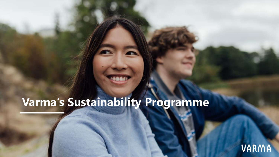# **Varma's Sustainability Programme**

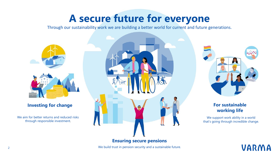## **A secure future for everyone**

Through our sustainability work we are building a better world for current and future generations.



#### **Investing for change**

We aim for better returns and reduced risks through responsible investment.







#### **For sustainable working life**

We support work ability in a world that's going through incredible change.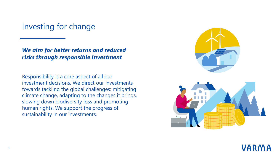### Investing for change

*We aim for better returns and reduced risks through responsible investment*

Responsibility is a core aspect of all our investment decisions. We direct our investments towards tackling the global challenges: mitigating climate change, adapting to the changes it brings, slowing down biodiversity loss and promoting human rights. We support the progress of sustainability in our investments.



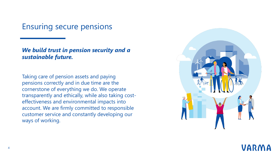Ensuring secure pensions

#### *We build trust in pension security and a sustainable future.*

Taking care of pension assets and paying pensions correctly and in due time are the cornerstone of everything we do. We operate transparently and ethically, while also taking costeffectiveness and environmental impacts into account. We are firmly committed to responsible customer service and constantly developing our ways of working.



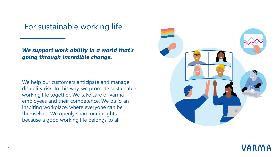For sustainable working life

*We support work ability in a world that's going through incredible change.*

We help our customers anticipate and manage disability risk. In this way, we promote sustainable working life together. We take care of Varma employees and their competence. We build an inspiring workplace, where everyone can be themselves. We openly share our insights, because a good working life belongs to all.



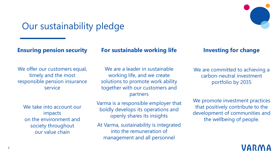

### Our sustainability pledge

**Ensuring pension security**

#### **For sustainable working life**

#### We offer our customers equal, timely and the most responsible pension insurance service

We take into account our impacts on the environment and society throughout our value chain

We are a leader in sustainable working life, and we create solutions to promote work ability together with our customers and partners

Varma is a responsible employer that boldly develops its operations and openly shares its insights

At Varma, sustainability is integrated into the remuneration of management and all personnel

#### **Investing for change**

We are committed to achieving a carbon-neutral investment portfolio by 2035

We promote investment practices that positively contribute to the development of communities and the wellbeing of people.